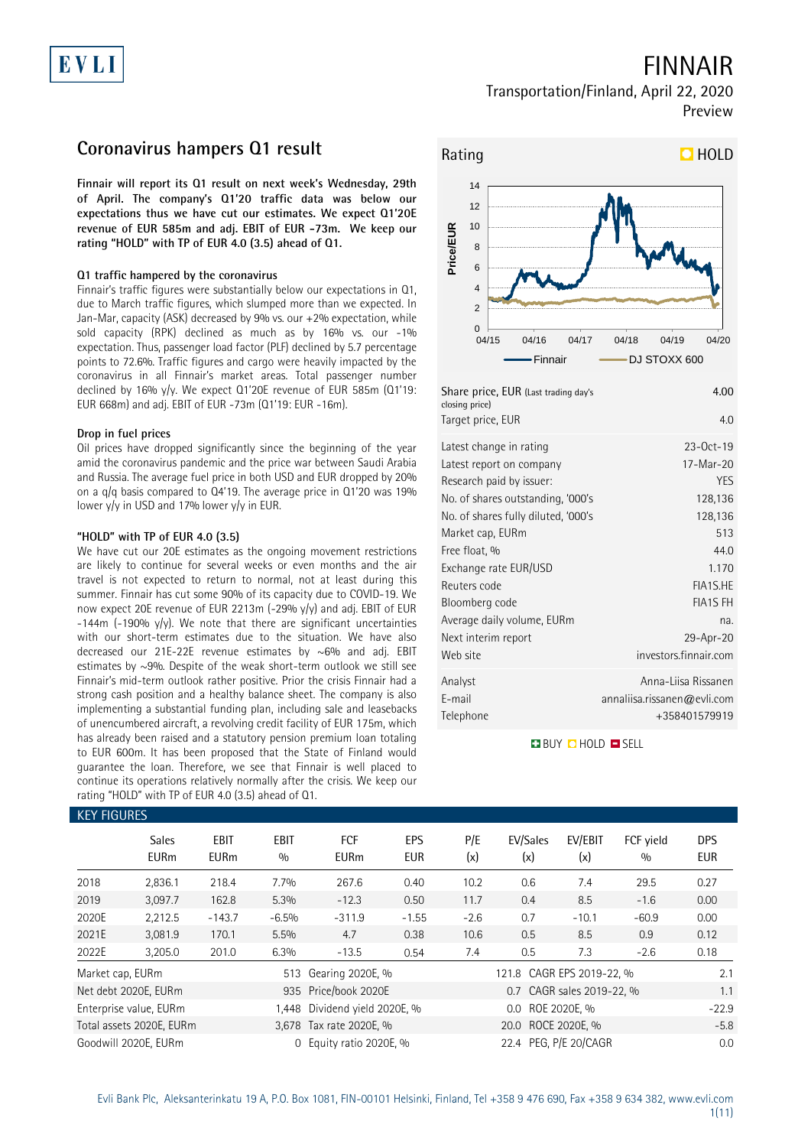# EVLI

## FINNAIR

### Transportation/Finland, April 22, 2020 Preview

## **Coronavirus hampers Q1 result**

**Finnair will report its Q1 result on next week's Wednesday, 29th of April. The company's Q1'20 traffic data was below our expectations thus we have cut our estimates. We expect Q1'20E revenue of EUR 585m and adj. EBIT of EUR -73m. We keep our rating "HOLD" with TP of EUR 4.0 (3.5) ahead of Q1.**

### **Q1 traffic hampered by the coronavirus**

Finnair's traffic figures were substantially below our expectations in Q1, due to March traffic figures, which slumped more than we expected. In Jan-Mar, capacity (ASK) decreased by 9% vs. our +2% expectation, while sold capacity (RPK) declined as much as by 16% vs. our -1% expectation. Thus, passenger load factor (PLF) declined by 5.7 percentage points to 72.6%. Traffic figures and cargo were heavily impacted by the coronavirus in all Finnair's market areas. Total passenger number declined by 16% y/y. We expect Q1'20E revenue of EUR 585m (Q1'19: EUR 668m) and adj. EBIT of EUR -73m (Q1'19: EUR -16m).

### **Drop in fuel prices**

Oil prices have dropped significantly since the beginning of the year amid the coronavirus pandemic and the price war between Saudi Arabia and Russia. The average fuel price in both USD and EUR dropped by 20% on a q/q basis compared to Q4'19. The average price in Q1'20 was 19% lower y/y in USD and 17% lower y/y in EUR.

### **"HOLD" with TP of EUR 4.0 (3.5)**

We have cut our 20E estimates as the ongoing movement restrictions are likely to continue for several weeks or even months and the air travel is not expected to return to normal, not at least during this summer. Finnair has cut some 90% of its capacity due to COVID-19. We now expect 20E revenue of EUR 2213m (-29% y/y) and adj. EBIT of EUR  $-144$ m (-190% y/y). We note that there are significant uncertainties with our short-term estimates due to the situation. We have also decreased our 21E-22E revenue estimates by ~6% and adj. EBIT estimates by ~9%. Despite of the weak short-term outlook we still see Finnair's mid-term outlook rather positive. Prior the crisis Finnair had a strong cash position and a healthy balance sheet. The company is also implementing a substantial funding plan, including sale and leasebacks of unencumbered aircraft, a revolving credit facility of EUR 175m, which has already been raised and a statutory pension premium loan totaling to EUR 600m. It has been proposed that the State of Finland would guarantee the loan. Therefore, we see that Finnair is well placed to continue its operations relatively normally after the crisis. We keep our rating "HOLD" with TP of EUR 4.0 (3.5) ahead of Q1.



| <b>Dright price, LON (Last trading days</b><br>closing price)<br>Target price, EUR | 4.UU<br>4.0                 |
|------------------------------------------------------------------------------------|-----------------------------|
| Latest change in rating                                                            | $23-0ct-19$                 |
| Latest report on company                                                           | 17-Mar-20                   |
| Research paid by issuer:                                                           | YES                         |
| No. of shares outstanding, '000's                                                  | 128,136                     |
| No. of shares fully diluted, '000's                                                | 128,136                     |
| Market cap, EURm                                                                   | 513                         |
| Free float, %                                                                      | 44.0                        |
| Exchange rate EUR/USD                                                              | 1.170                       |
| Reuters code                                                                       | FIA1S.HE                    |
| Bloomberg code                                                                     | <b>FIA1S FH</b>             |
| Average daily volume, EURm                                                         | na.                         |
| Next interim report                                                                | 29-Apr-20                   |
| Web site                                                                           | investors.finnair.com       |
| Analyst                                                                            | Anna-Liisa Rissanen         |
| E-mail                                                                             | annaliisa.rissanen@evli.com |
| Telephone                                                                          | +358401579919               |

**BUY QHOLD SELL** 

| <b>KEY FIGURES</b> |                             |                     |             |                               |                   |                  |                           |                           |                  |                          |  |
|--------------------|-----------------------------|---------------------|-------------|-------------------------------|-------------------|------------------|---------------------------|---------------------------|------------------|--------------------------|--|
|                    | <b>Sales</b><br><b>EURm</b> | EBIT<br><b>EURm</b> | EBIT<br>0/0 | <b>FCF</b><br><b>EURm</b>     | EPS<br><b>EUR</b> | P/E<br>(x)       | EV/Sales<br>(x)           | EV/EBIT<br>(x)            | FCF yield<br>0/0 | <b>DPS</b><br><b>EUR</b> |  |
| 2018               | 2,836.1                     | 218.4               | 7.7%        | 267.6                         | 0.40              | 10.2             | 0.6                       | 7.4                       | 29.5             | 0.27                     |  |
| 2019               | 3,097.7                     | 162.8               | 5.3%        | $-12.3$                       | 0.50              | 11.7             | 0.4                       | 8.5                       | $-1.6$           | 0.00                     |  |
| 2020E              | 2,212.5                     | $-143.7$            | $-6.5%$     | $-311.9$                      | $-1.55$           | $-2.6$           | 0.7                       | $-10.1$                   | $-60.9$          | 0.00                     |  |
| 2021E              | 3,081.9                     | 170.1               | 5.5%        | 4.7                           | 0.38              | 10.6             | 0.5                       | 8.5                       | 0.9              | 0.12                     |  |
| 2022E              | 3,205.0                     | 201.0               | 6.3%        | $-13.5$                       | 0.54              | 7.4              | 0.5                       | 7.3                       | $-2.6$           | 0.18                     |  |
| Market cap, EURm   |                             |                     | 513         | Gearing 2020E, %              |                   |                  | 121.8 CAGR EPS 2019-22, % |                           |                  | 2.1                      |  |
|                    | Net debt 2020E, EURm        |                     |             | 935 Price/book 2020E          |                   |                  |                           | 0.7 CAGR sales 2019-22, % |                  | 1.1                      |  |
|                    | Enterprise value, EURm      |                     |             | 1,448 Dividend yield 2020E, % |                   | 0.0 ROE 2020E, % |                           |                           |                  | $-22.9$                  |  |
|                    | Total assets 2020E, EURm    |                     |             | 3,678 Tax rate 2020E, %       |                   |                  | 20.0 ROCE 2020E, %        |                           |                  | $-5.8$                   |  |
|                    | Goodwill 2020E, EURm        |                     | $\Omega$    | Equity ratio 2020E, %         |                   |                  | 22.4 PEG, P/E 20/CAGR     |                           |                  | 0.0                      |  |

## Evli Bank Plc, Aleksanterinkatu 19 A, P.O. Box 1081, FIN-00101 Helsinki, Finland, Tel +358 9 476 690, Fax +358 9 634 382, [www.evli.com](http://www.evli.com/)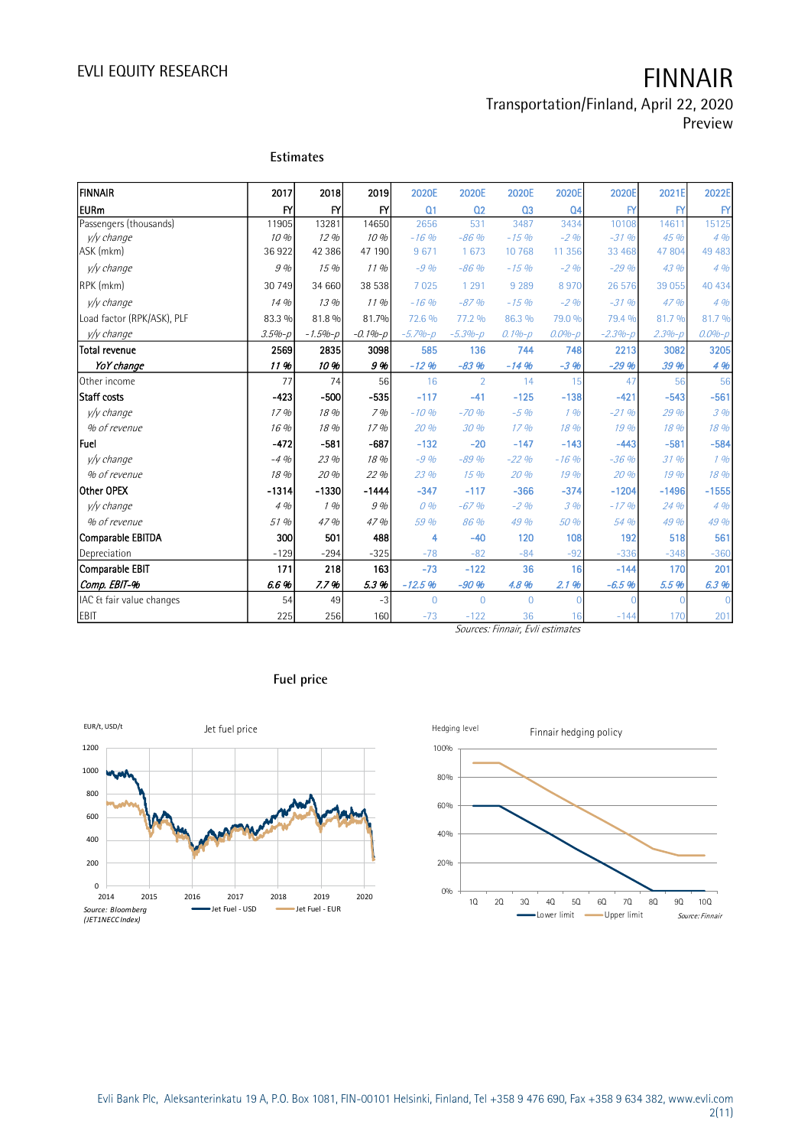### Transportation/Finland, April 22, 2020 Preview

| İfinnair                   | 2017          | 2018          | 2019        | 2020E          | 2020E          | 2020E          | 2020E          | 2020E        | 2021E      | 2022E         |
|----------------------------|---------------|---------------|-------------|----------------|----------------|----------------|----------------|--------------|------------|---------------|
| <b>IEURm</b>               | $\mathsf{FY}$ | $\mathsf{F}'$ | Y           | Q <sub>1</sub> | 02             | Q <sub>3</sub> | Q <sub>4</sub> | $\mathsf{F}$ | <b>FY</b>  | $\mathsf{FY}$ |
| Passengers (thousands)     | 11905         | 13281         | 14650       | 2656           | 531            | 3487           | 3434           | 10108        | 14611      | 15125         |
| y/y change                 | 10%           | 12 %          | 10%         | $-16%$         | $-86%$         | $-15%$         | $-2\%$         | $-31%$       | 45 %       | 4%            |
| ASK (mkm)                  | 36922         | 42 38 6       | 47 190      | 9671           | 1 673          | 10 768         | 11 3 5 6       | 33 468       | 47 804     | 49 4 83       |
| v/v change                 | 9%            | 15 %          | 11%         | $-9%$          | $-86%$         | $-15%$         | $-2\%$         | $-29%$       | 43 %       | 4%            |
| RPK (mkm)                  | 30 749        | 34 660        | 38 538      | 7 0 2 5        | 1 2 9 1        | 9 2 8 9        | 8970           | 26 576       | 39 055     | 40 434        |
| v/v change                 | 14 %          | 13 %          | 11%         | $-16%$         | $-87%$         | $-15%$         | $-2\%$         | $-31%$       | 47 %       | 4%            |
| Load factor (RPK/ASK), PLF | 83.3 %        | 81.8 %        | 81.7%       | 72.6 %         | 77.2 %         | 86.3 %         | 79.0 %         | 79.4 %       | 81.7%      | 81.7 %        |
| y/y change                 | $3.5% - p$    | $-1.5% - p$   | $-0.1% - p$ | $-5.7% - p$    | $-5.3% - p$    | $0.1%-p$       | $0.0% - p$     | $-2.3% - p$  | $2.3% - p$ | $0.0% - p$    |
| <b>Total revenue</b>       | 2569          | 2835          | 3098        | 585            | 136            | 744            | 748            | 2213         | 3082       | 3205          |
| YoY change                 | 11%           | 10 %          | 9%          | $-12.96$       | $-83%$         | $-14%$         | $-3.96$        | $-29.96$     | 39 %       | 4 %           |
| Other income               | 77            | 74            | 56          | 16             | $\overline{2}$ | 14             | 15             | 47           | 56         | 56            |
| Staff costs                | $-423$        | $-500$        | $-535$      | $-117$         | $-41$          | $-125$         | $-138$         | $-421$       | $-543$     | $-561$        |
| v/v change                 | 17%           | 18 %          | $7$ %       | $-10%$         | $-70%$         | $-5\%$         | 1%             | $-21%$       | 29 %       | 3%            |
| % of revenue               | 16 %          | 18 %          | 17%         | 20 %           | 30 %           | 17%            | 18 %           | 19 %         | 18 %       | 18 %          |
| <b>IFuel</b>               | $-472$        | $-581$        | $-687$      | $-132$         | $-20$          | $-147$         | $-143$         | $-443$       | $-581$     | $-584$        |
| v/v change                 | $-4.96$       | 23 %          | 18 %        | $-9%$          | $-89%$         | $-22%$         | $-16%$         | $-36%$       | 31%        | 196           |
| % of revenue               | 18 %          | 20 %          | 22%         | 23 %           | 15%            | 20 %           | 19 %           | 20 %         | 19 %       | 18 %          |
| Other OPEX                 | $-1314$       | $-1330$       | $-1444$     | $-347$         | $-117$         | $-366$         | $-374$         | $-1204$      | $-1496$    | $-1555$       |
| v/v change                 | 4%            | 1%            | 9%          | 0%             | $-67%$         | $-2\%$         | 3%             | $-17.96$     | 24 %       | 4%            |
| % of revenue               | 51 %          | 47 %          | 47 %        | 59 %           | 86 %           | 49 %           | 50 %           | 54 %         | 49 %       | 49 %          |
| Comparable EBITDA          | 300           | 501           | 488         | 4              | $-40$          | 120            | 108            | 192          | 518        | 561           |
| Depreciation               | $-129$        | $-294$        | $-325$      | $-78$          | $-82$          | $-84$          | $-92$          | $-336$       | $-348$     | $-360$        |
| Comparable EBIT            | 171           | 218           | 163         | $-73$          | $-122$         | 36             | 16             | $-144$       | 170        | 201           |
| Comp. EBIT-%               | 6.6%          | 7.7%          | 5.3%        | $-12.5%$       | $-90%$         | 4.8%           | 2.1%           | $-6.5%$      | 5.5%       | 6.3%          |
| IAC & fair value changes   | 54            | 49            | $-3$        | $\overline{0}$ | $\overline{0}$ | $\Omega$       |                |              |            | $\Omega$      |
| EBIT                       | 225           | 256           | 160         | $-73$          | $-122$         | 36             | 16             | $-144$       | 170        | 201           |

### **Estimates**

Sources: Finnair, Evli estimates







# Evli Bank Plc, Aleksanterinkatu 19 A, P.O. Box 1081, FIN-00101 Helsinki, Finland, Tel +358 9 476 690, Fax +358 9 634 382, [www.evli.com](http://www.evli.com/)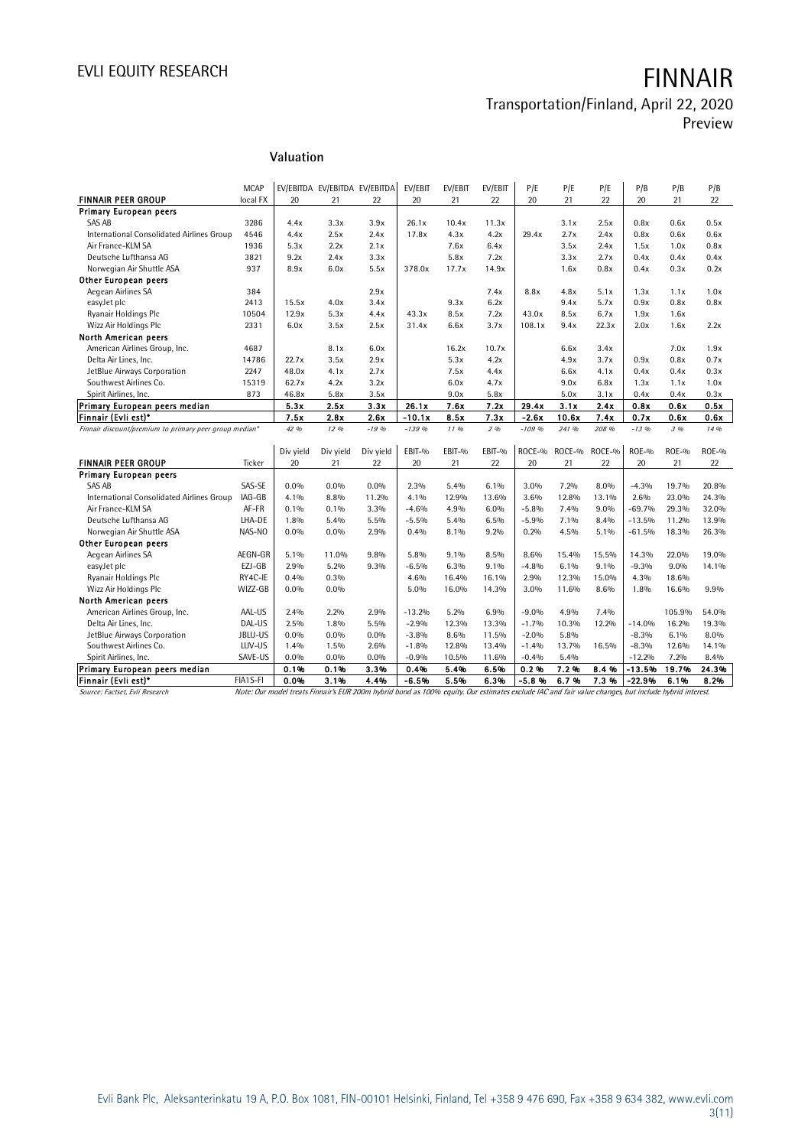# Transportation/Finland, April 22, 2020

Preview

### MCAP EV/EBITDA EV/EBITDA EV/EBITDA EV/EBIT EV/EBIT EV/EBIT P/E P/E P/E P/B P/B P/B<br>| local FX 20 21 22 20 21 22 20 21 22 20 21 22 **FINNAIR PEER GROUP** local FX 20 21 22 20 21 22 20 21 22 20 21 22 Primary European peers SAS AB 3286 4.4x 3.3x 3.9x 26.1x 10.4x 11.3x 3.1x 2.5x 0.8x 0.6x 0.5x International Consolidated Airlines Group 4546 4.4x 2.5x 2.4x 17.8x 4.3x 4.2x 2.9.4x 2.7x 2.4x 0.8x 0.6x 0.6x<br>Air France-KLM SA 1.5x 1.0x 0.8x 2.9x 2.1x 2.1x 2.6x 6.4x 3.5x 2.4x 1.5x 1.0x 0.8x Air France-KLM SA 1936 5.3x 2.2x 2.1x 7.6x 6.4x 3.5x 2.4x 1.5x 1.0x 0.8x Deutsche Lufthansa AG 3821 9.2x 2.4x 3.3x 5.8x 7.2x 3.3x 2.7x 0.4x 0.4x 0.4x Norwegian Air Shuttle ASA 937 8.9x 6.0x 5.5x 378.0x 17.7x 14.9x 1.6x 0.8x 0.4x 0.3x 0.2x Other European peers<br>Aeqean Airlines SA Aegean Airlines SA 384 2.9x 7.4x 8.8x 4.8x 5.1x 1.3x 1.1x 1.0x easyJet plc 2413 15.5x 4.0x 3.4x 9.3x 6.2x 9.4x 5.7x 0.9x 0.8x 0.8x Ryanair Holdings Plc 10504 12.9x 5.3x 4.4x 43.3x 8.5x 7.2x 43.0x 8.5x 6.7x 1.9x 1.6x Wizz Air Holdings Plc 2331 6.0x 3.5x 2.5x 31.4x 6.6x 3.7x 108.1x 9.4x 22.3x 2.0x 1.6x 2.2x North American peers American Airlines Group, Inc. 4687 8.1x 6.0x 16.2x 10.7x 6.6x 3.4x 7.0x 1.9x 1.9x<br>Delta Air Lines, Inc. 19786 22.7x 3.5x 2.9x 5.3x 4.2x 4.9x 3.7x 0.9x 0.8x 0.7x Delta Air Lines, Inc. 14786 22.7x 3.5x 2.9x 5.3x 4.2x 4.9x 3.7x 0.9x 0.8x 0.7x JetBlue Airways Corporation 2247 48.0x 4.1x 2.7x 7.5x 4.4x 6.6x 4.1x 0.4x 0.3x 0.3x<br>
Southwest Airlines Co. 15319 62.7x 4.2x 3.2x 6.0x 4.7x 9.0x 6.8x 1.3x 1.1x 1.0x Southwest Airlines Co. 15319 62.7x 4.2x 3.2x 6.0x 4.7x 9.0x 6.8x 1.3x 1.1x 1.0x Spirit Airlines, Inc. 873 46.8x 5.8x 3.5x 9.0x 5.8x 5.0x 3.1x 0.4x 0.4x 0.3x Primary European peers median 19.53x 2.5x 3.3x 2.5x 3.3x 2.6x 7.2x 2.9.4x 3.1x 2.4x 0.8x 0.6x 0.5x Finnair (Evli est)\* | 7.5x 2.8x 2.6x | -10.1x 8.5x 7.3x | -2.6x 10.6x 7.4x | 0.7x 0.6x 0.6x Finnair discount/premium to primary peer group median\* 42 % 12 % -19 % -139 % 11 % 2 % -109 % 241 % 208 % -13 % 3 % 14 % Div yield Div yield Div yield EBIT-% EBIT-% EBIT-% ROCE-% ROCE-% ROCE-% ROE-% ROE-% ROE-% **FINNAIR PEER GROUP** Ticker 20 21 22 20 21 22 20 21 22 20 21 22 Primary European peers SAS AB SAS-SE 0.0% 0.0% 0.0% 2.3% 5.4% 6.1% 3.0% 7.2% 8.0% -4.3% 19.7% 20.8% International Consolidated Airlines Group IAG-GB 4.1% 8.8% 11.2% 4.1% 12.9% 13.6% 3.6% 12.8% 13.1% 2.6% 23.0% 24.3%<br>Air France-KLM SA -69.7% 29.3% 32.0% 4.6% 4.9% 4.6% 4.9% 6.0% -5.8% 7.4% 9.0% -69.7% 29.3% 32.0% Air France-KLM SA AF-FR | 0.1% 0.1% 3.3% | -4.6% 4.9% 6.0% | -5.8% 7.4% 9.0% | -69.7% 29.3% 32.0% Deutsche Lufthansa AG LHA-DE 1.8% 5.4% 5.5% -5.5% 5.4% 6.5% -5.9% 7.1% 8.4% -13.5% 11.2% 13.9% Norwegian Air Shuttle ASA **NAS-NO** 0.0% 0.0% 2.9% 0.4% 8.1% 9.2% 0.2% 4.5% 5.1% -61.5% 18.3% 26.3% Other European peers Aegean Airlines SA AEGN-GR 5.1% 11.0% 9.8% 5.8% 9.1% 8.5% 8.6% 15.4% 15.5% 14.3% 22.0% 19.0% easyJet plc EZJ-GB 2.9% 5.2% 9.3% -6.5% 6.3% 9.1% -4.8% 6.1% 9.1% -9.3% 9.0% 14.1% Ryanair Holdings Plc **RY4C-IE** 0.4% 0.3% 4.6% 16.4% 16.1% 2.9% 12.3% 15.0% 4.3% 18.6%<br>Wizz Air Holdings Plc **Wizz-GB** 0.0% 0.0% 5.0% 16.0% 14.3% 3.0% 11.6% 8.6% 1.8% 16.6% Wizz Air Holdings Plc WIZZ-GB 0.0% 0.0% 15.0% 16.0% 14.3% 3.0% 11.6% 8.6% 1.8% 16.6% 9.9% North American peers American Airlines Group, Inc. AAL-US | 2.4% 2.2% 2.9% | -13.2% 5.2% 6.9% | -9.0% 4.9% 7.4% |<br>Delta Air Lines, Inc. DAL-US | 2.5% 1.8% 5.5% | -2.9% 12.3% 13.3% | -1.7% 10.3% 12.2% Delta Air Lines, Inc. No. 2016 10.3% DAL-US 2.5% 1.8% 5.5% -2.9% 12.3% 13.3% -1.7% 10.3% 12.2% -14.0% 16.2% 19.3%<br>1990 JetBlue Airways Corporation JBLU-US 0.0% 0.0% 0.0% -3.8% 8.6% 11.5% -2.0% 5.8% -8.3% 6.1% 8.0% JetBlue Airways Corporation JBLU-US 0.0% 0.0% 0.0% -3.8% 8.6% 11.5% -2.0% 5.8% -8.3% 6.1% 8.0%

Southwest Airlines Co. **LUV-US** 1.4% 1.5% 2.6% -1.8% 12.8% 13.4% -1.4% 13.7% 16.5%

Spirit Airlines, Inc. SAVE-US 0.0% 0.0% 0.0% -0.9% 10.5% 11.6% -0.4% 5.4% -12.2% 7.2% 8.4%

**Valuation**

Primary European peers median <br>Primary European peers median FIA1S-FI 0.0% 3.1% 4.4% -6.5% 5.5% 6.3% -5.8% 6.7% 7.3% -22.9% 6.1% 8.2%

Finnair (Evli est)\* FIA1S-FI 0.0% 3.1% 4.4% -6.5% 5.5% 6.3% -5.8 % 6.7 % 7.3 % -22.9% 6.1% 8.2% Source: Factset, Evli Research Note: Our model treats Finnair's EUR 200m hybrid bond as 100% equity. Our estimates exclude IAC and fair value changes, but include hybrid interest.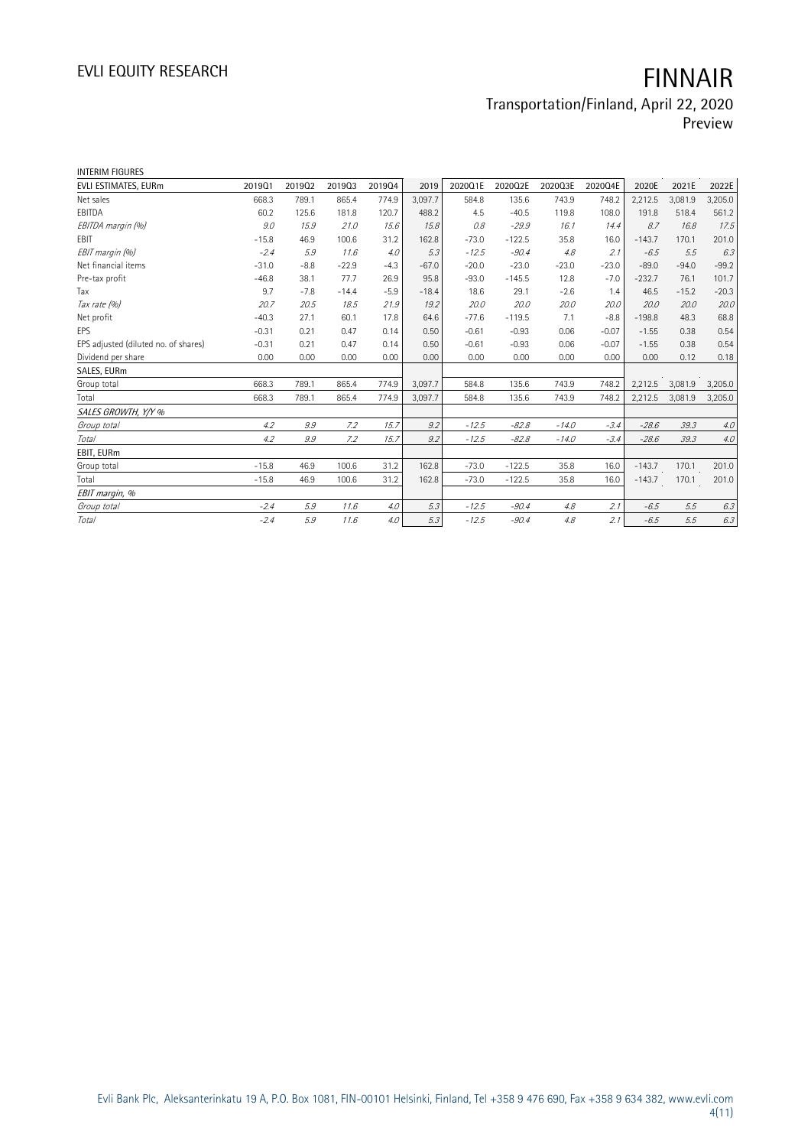### Transportation/Finland, April 22, 2020 Preview

| <b>INTERIM FIGURES</b>               |         |        |         |        |         |         |          |         |         |          |         |         |
|--------------------------------------|---------|--------|---------|--------|---------|---------|----------|---------|---------|----------|---------|---------|
| EVLI ESTIMATES, EURm                 | 201901  | 201902 | 201903  | 201904 | 2019    | 2020Q1E | 2020Q2E  | 2020Q3E | 2020Q4E | 2020E    | 2021E   | 2022E   |
| Net sales                            | 668.3   | 789.1  | 865.4   | 774.9  | 3.097.7 | 584.8   | 135.6    | 743.9   | 748.2   | 2,212.5  | 3,081.9 | 3,205.0 |
| EBITDA                               | 60.2    | 125.6  | 181.8   | 120.7  | 488.2   | 4.5     | $-40.5$  | 119.8   | 108.0   | 191.8    | 518.4   | 561.2   |
| EBITDA margin (%)                    | 9.0     | 15.9   | 21.0    | 15.6   | 15.8    | 0.8     | $-29.9$  | 16.1    | 14.4    | 8.7      | 16.8    | 17.5    |
| <b>EBIT</b>                          | $-15.8$ | 46.9   | 100.6   | 31.2   | 162.8   | $-73.0$ | $-122.5$ | 35.8    | 16.0    | $-143.7$ | 170.1   | 201.0   |
| EBIT margin (%)                      | $-2.4$  | 5.9    | 11.6    | 4.0    | 5.3     | $-12.5$ | $-90.4$  | 4.8     | 2.1     | $-6.5$   | 5.5     | 6.3     |
| Net financial items                  | $-31.0$ | $-8.8$ | $-22.9$ | $-4.3$ | $-67.0$ | $-20.0$ | $-23.0$  | $-23.0$ | $-23.0$ | $-89.0$  | $-94.0$ | $-99.2$ |
| Pre-tax profit                       | $-46.8$ | 38.1   | 77.7    | 26.9   | 95.8    | $-93.0$ | $-145.5$ | 12.8    | $-7.0$  | $-232.7$ | 76.1    | 101.7   |
| Tax                                  | 9.7     | $-7.8$ | $-14.4$ | $-5.9$ | $-18.4$ | 18.6    | 29.1     | $-2.6$  | 1.4     | 46.5     | $-15.2$ | $-20.3$ |
| Tax rate (%)                         | 20.7    | 20.5   | 18.5    | 21.9   | 19.2    | 20.0    | 20.0     | 20.0    | 20.0    | 20.0     | 20.0    | 20.0    |
| Net profit                           | $-40.3$ | 27.1   | 60.1    | 17.8   | 64.6    | $-77.6$ | $-119.5$ | 7.1     | $-8.8$  | $-198.8$ | 48.3    | 68.8    |
| EPS                                  | $-0.31$ | 0.21   | 0.47    | 0.14   | 0.50    | $-0.61$ | $-0.93$  | 0.06    | $-0.07$ | $-1.55$  | 0.38    | 0.54    |
| EPS adjusted (diluted no. of shares) | $-0.31$ | 0.21   | 0.47    | 0.14   | 0.50    | $-0.61$ | $-0.93$  | 0.06    | $-0.07$ | $-1.55$  | 0.38    | 0.54    |
| Dividend per share                   | 0.00    | 0.00   | 0.00    | 0.00   | 0.00    | 0.00    | 0.00     | 0.00    | 0.00    | 0.00     | 0.12    | 0.18    |
| SALES, EURm                          |         |        |         |        |         |         |          |         |         |          |         |         |
| Group total                          | 668.3   | 789.1  | 865.4   | 774.9  | 3,097.7 | 584.8   | 135.6    | 743.9   | 748.2   | 2,212.5  | 3,081.9 | 3,205.0 |
| Total                                | 668.3   | 789.1  | 865.4   | 774.9  | 3,097.7 | 584.8   | 135.6    | 743.9   | 748.2   | 2,212.5  | 3,081.9 | 3,205.0 |
| SALES GROWTH, Y/Y %                  |         |        |         |        |         |         |          |         |         |          |         |         |
| Group total                          | 4.2     | 9.9    | 7.2     | 15.7   | 9.2     | $-12.5$ | $-82.8$  | $-14.0$ | $-3.4$  | $-28.6$  | 39.3    | 4.0     |
| Total                                | 4.2     | 9.9    | 7.2     | 15.7   | 9.2     | $-12.5$ | $-82.8$  | $-14.0$ | $-3.4$  | $-28.6$  | 39.3    | 4.0     |
| EBIT, EURm                           |         |        |         |        |         |         |          |         |         |          |         |         |
| Group total                          | $-15.8$ | 46.9   | 100.6   | 31.2   | 162.8   | $-73.0$ | $-122.5$ | 35.8    | 16.0    | $-143.7$ | 170.1   | 201.0   |
| Total                                | $-15.8$ | 46.9   | 100.6   | 31.2   | 162.8   | $-73.0$ | $-122.5$ | 35.8    | 16.0    | $-143.7$ | 170.1   | 201.0   |
| EBIT margin, %                       |         |        |         |        |         |         |          |         |         |          |         |         |
| Group total                          | $-2.4$  | 5.9    | 11.6    | 4.0    | 5.3     | $-12.5$ | $-90.4$  | 4.8     | 2.1     | $-6.5$   | 5.5     | 6.3     |
| <b>Total</b>                         | $-2.4$  | 5.9    | 11.6    | 4.0    | 5.3     | $-12.5$ | $-90.4$  | 4.8     | 2.1     | $-6.5$   | 5.5     | 6.3     |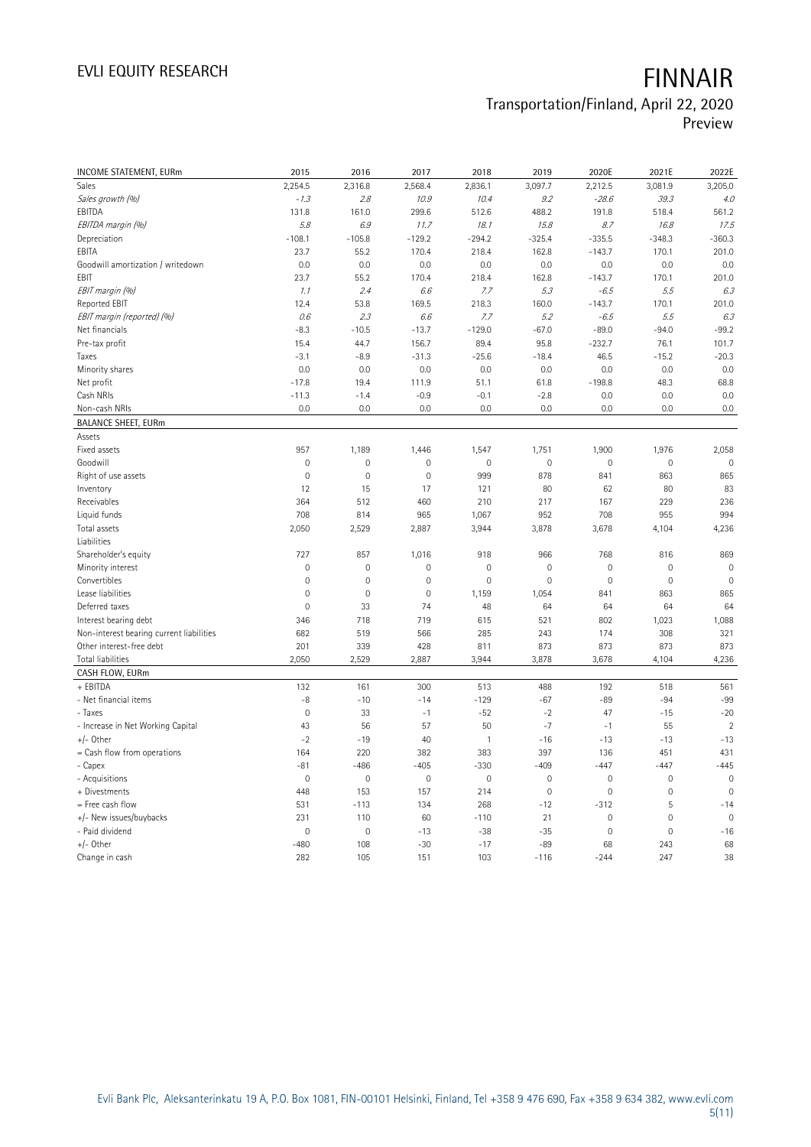## Transportation/Finland, April 22, 2020

Preview

| INCOME STATEMENT, EURm                   | 2015                | 2016        | 2017           | 2018                | 2019                | 2020E               | 2021E          | 2022E          |
|------------------------------------------|---------------------|-------------|----------------|---------------------|---------------------|---------------------|----------------|----------------|
| Sales                                    | 2,254.5             | 2,316.8     | 2,568.4        | 2,836.1             | 3,097.7             | 2,212.5             | 3,081.9        | 3,205.0        |
| Sales growth (%)                         | $-1.3$              | 2.8         | 10.9           | 10.4                | 9.2                 | $-28.6$             | 39.3           | 4.0            |
| EBITDA                                   | 131.8               | 161.0       | 299.6          | 512.6               | 488.2               | 191.8               | 518.4          | 561.2          |
| EBITDA margin (%)                        | 5.8                 | 6.9         | 11.7           | 18.1                | 15.8                | 8.7                 | 16.8           | 17.5           |
| Depreciation                             | $-108.1$            | $-105.8$    | $-129.2$       | $-294.2$            | $-325.4$            | $-335.5$            | $-348.3$       | $-360.3$       |
| EBITA                                    | 23.7                | 55.2        | 170.4          | 218.4               | 162.8               | $-143.7$            | 170.1          | 201.0          |
| Goodwill amortization / writedown        | 0.0                 | 0.0         | 0.0            | 0.0                 | 0.0                 | 0.0                 | 0.0            | 0.0            |
| EBIT                                     | 23.7                | 55.2        | 170.4          | 218.4               | 162.8               | $-143.7$            | 170.1          | 201.0          |
| EBIT margin (%)                          | 1.1                 | 2.4         | 6.6            | 7.7                 | 5.3                 | $-6.5$              | 5.5            | 6.3            |
| Reported EBIT                            | 12.4                | 53.8        | 169.5          | 218.3               | 160.0               | $-143.7$            | 170.1          | 201.0          |
| EBIT margin (reported) (%)               | 0.6                 | 2.3         | 6.6            | 7.7                 | 5.2                 | $-6.5$              | 5.5            | 6.3            |
| Net financials                           | $-8.3$              | $-10.5$     | $-13.7$        | $-129.0$            | $-67.0$             | $-89.0$             | $-94.0$        | $-99.2$        |
| Pre-tax profit                           | 15.4                | 44.7        | 156.7          | 89.4                | 95.8                | $-232.7$            | 76.1           | 101.7          |
| Taxes                                    | $-3.1$              | $-8.9$      | $-31.3$        | $-25.6$             | $-18.4$             | 46.5                | $-15.2$        | $-20.3$        |
| Minority shares                          | 0.0                 | 0.0         | 0.0            | 0.0                 | 0.0                 | 0.0                 | 0.0            | 0.0            |
| Net profit                               | $-17.8$             | 19.4        | 111.9          | 51.1                | 61.8                | $-198.8$            | 48.3           | 68.8           |
| Cash NRIs                                | $-11.3$             | $-1.4$      | $-0.9$         | $-0.1$              | $-2.8$              | 0.0                 | 0.0            | 0.0            |
| Non-cash NRIs                            | 0.0                 | 0.0         | 0.0            | 0.0                 | 0.0                 | 0.0                 | 0.0            | 0.0            |
| <b>BALANCE SHEET, EURm</b>               |                     |             |                |                     |                     |                     |                |                |
| Assets                                   |                     |             |                |                     |                     |                     |                |                |
| Fixed assets                             | 957                 | 1,189       | 1,446          | 1,547               | 1,751               | 1,900               | 1,976          | 2,058          |
| Goodwill                                 | $\mathsf{O}\xspace$ | $\mathbf 0$ | $\mathbf 0$    | $\mathsf{O}\xspace$ | $\mathbf 0$         | $\mathbf 0$         | $\mathbf 0$    | $\mathbf 0$    |
| Right of use assets                      | $\mathbf 0$         | $\mathbf 0$ | $\overline{0}$ | 999                 | 878                 | 841                 | 863            | 865            |
| Inventory                                | 12                  | 15          | 17             | 121                 | 80                  | 62                  | 80             | 83             |
| Receivables                              | 364                 | 512         | 460            | 210                 | 217                 | 167                 | 229            | 236            |
| Liquid funds                             | 708                 | 814         | 965            | 1,067               | 952                 | 708                 | 955            | 994            |
| Total assets                             | 2,050               | 2,529       | 2,887          | 3,944               | 3,878               | 3,678               | 4,104          | 4,236          |
| Liabilities                              |                     |             |                |                     |                     |                     |                |                |
| Shareholder's equity                     | 727                 | 857         | 1,016          | 918                 | 966                 | 768                 | 816            | 869            |
| Minority interest                        | $\mathsf{O}\xspace$ | $\mathbf 0$ | 0              | $\mathbf 0$         | $\mathbf 0$         | $\overline{0}$      | $\mathbf 0$    | $\mathbf 0$    |
| Convertibles                             | 0                   | $\mathbf 0$ | $\mathsf 0$    | $\mathbf 0$         | $\mathbf 0$         | $\mathbf 0$         | $\mathbf 0$    | $\mathbf 0$    |
| Lease liabilities                        | 0                   | $\mathbf 0$ | $\mathbf 0$    | 1,159               | 1,054               | 841                 | 863            | 865            |
| Deferred taxes                           | $\mathbf 0$         | 33          | 74             | 48                  | 64                  | 64                  | 64             | 64             |
| Interest bearing debt                    | 346                 | 718         | 719            | 615                 | 521                 | 802                 | 1,023          | 1,088          |
| Non-interest bearing current liabilities | 682                 | 519         | 566            | 285                 | 243                 | 174                 | 308            | 321            |
| Other interest-free debt                 | 201                 | 339         | 428            | 811                 | 873                 | 873                 | 873            | 873            |
| <b>Total liabilities</b>                 | 2,050               | 2,529       | 2,887          | 3,944               | 3,878               | 3,678               | 4,104          | 4,236          |
| CASH FLOW, EURm                          |                     |             |                |                     |                     |                     |                |                |
| + EBITDA                                 | 132                 | 161         | 300            | 513                 | 488                 | 192                 | 518            | 561            |
| - Net financial items                    | -8                  | $-10$       | $-14$          | $-129$              | $-67$               | $-89$               | $-94$          | $-99$          |
| - Taxes                                  | $\mathsf{O}\xspace$ | 33          | $-1$           | $-52$               | $-2$                | 47                  | $-15$          | $-20$          |
| - Increase in Net Working Capital        | 43                  | 56          | 57             | 50                  | $-7$                | $-1$                | 55             | $\overline{2}$ |
| $+/-$ Other                              | $-2$                | $-19$       | 40             | $\mathbf{1}$        | $-16$               | $-13$               | $-13$          | $-13$          |
| = Cash flow from operations              | 164                 | 220         | 382            | 383                 | 397                 | 136                 | 451            | 431            |
| - Capex                                  | $-81$               | $-486$      | $-405$         | $-330$              | $-409$              | $-447$              | $-447$         | $-445$         |
| - Acquisitions                           | 0                   | $\mathbf 0$ | $\mathbf 0$    | $\mathbf 0$         | $\mathbf 0$         | $\mathbf 0$         | $\mathbf 0$    | $\mathbf 0$    |
| + Divestments                            | 448                 | 153         | 157            | 214                 | $\mathsf{O}\xspace$ | $\mathsf{O}\xspace$ | 0              | $\mathbf 0$    |
| = Free cash flow                         | 531                 | $-113$      | 134            | 268                 | $-12$               | $-312$              | 5              | $-14$          |
| +/- New issues/buybacks                  | 231                 | 110         | 60             | $-110$              | 21                  | $\mathbf 0$         | $\mathbf 0$    | $\mathbf 0$    |
| - Paid dividend                          | $\overline{0}$      | $\mathbf 0$ | $-13$          | $-38$               | $-35$               | $\mathbf{0}$        | $\overline{0}$ | $-16$          |
| $+/-$ Other                              | $-480$              | 108         | $-30$          | $-17$               | $-89$               | 68                  | 243            | 68             |
| Change in cash                           | 282                 | 105         | 151            | 103                 | $-116$              | $-244$              | 247            | 38             |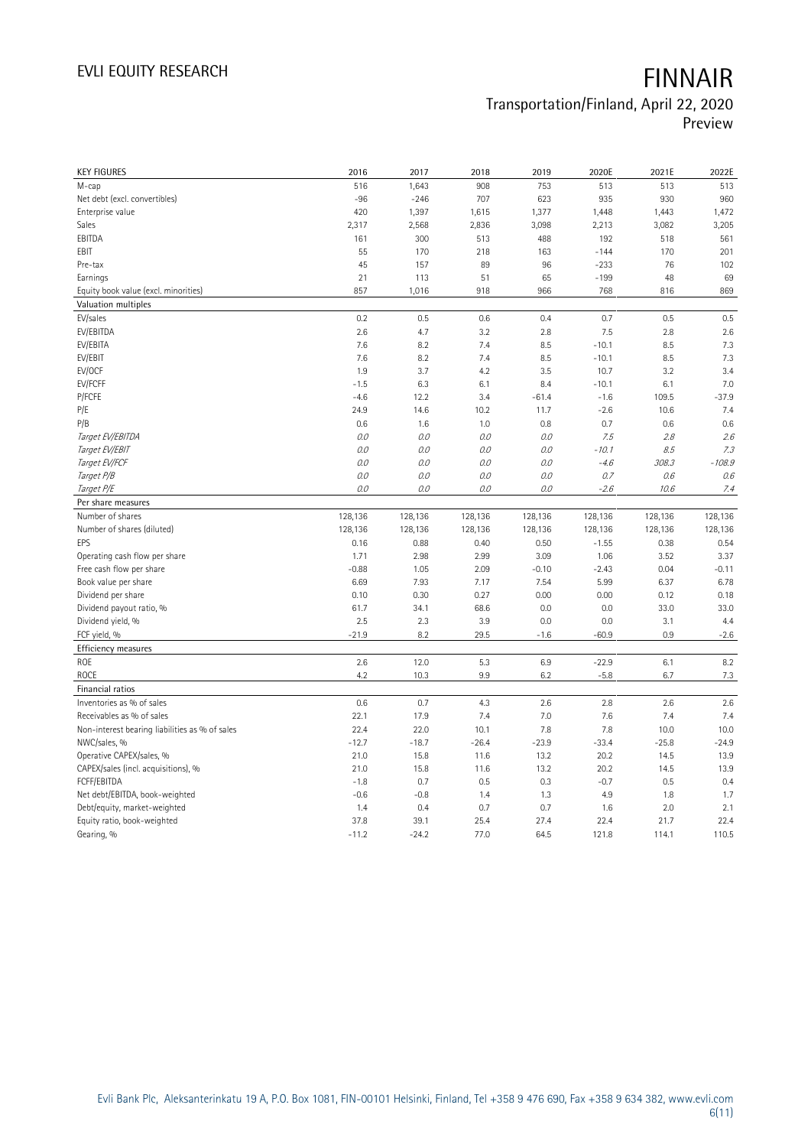### Transportation/Finland, April 22, 2020 Preview

| <b>KEY FIGURES</b>                             | 2016            | 2017            | 2018         | 2019         | 2020E         | 2021E         | 2022E         |
|------------------------------------------------|-----------------|-----------------|--------------|--------------|---------------|---------------|---------------|
| M-cap                                          | 516             | 1,643           | 908          | 753          | 513           | 513           | 513           |
| Net debt (excl. convertibles)                  | $-96$           | $-246$          | 707          | 623          | 935           | 930           | 960           |
| Enterprise value                               | 420             | 1,397           | 1,615        | 1,377        | 1,448         | 1,443         | 1,472         |
| Sales                                          | 2,317           | 2,568           | 2,836        | 3,098        | 2,213         | 3,082         | 3,205         |
| EBITDA                                         | 161             | 300             | 513          | 488          | 192           | 518           | 561           |
| EBIT                                           | 55              | 170             | 218          | 163          | $-144$        | 170           | 201           |
| Pre-tax                                        | 45              | 157             | 89           | 96           | $-233$        | 76            | 102           |
| Earnings                                       | 21              | 113             | 51           | 65           | $-199$        | 48            | 69            |
| Equity book value (excl. minorities)           | 857             | 1,016           | 918          | 966          | 768           | 816           | 869           |
| Valuation multiples                            |                 |                 |              |              |               |               |               |
| EV/sales                                       | 0.2             | 0.5             | 0.6          | 0.4          | 0.7           | 0.5           | 0.5           |
| EV/EBITDA                                      | 2.6             | 4.7             | 3.2          | 2.8          | 7.5           | 2.8           | 2.6           |
| EV/EBITA                                       | 7.6             | 8.2             | 7.4          | 8.5          | $-10.1$       | 8.5           | 7.3           |
| EV/EBIT                                        | 7.6             | 8.2             | 7.4          | 8.5          | $-10.1$       | 8.5           | 7.3           |
| EV/OCF                                         | 1.9             | 3.7             | 4.2          | 3.5          | 10.7          | 3.2           | 3.4           |
| EV/FCFF                                        | $-1.5$          | 6.3             | 6.1          | 8.4          | $-10.1$       | 6.1           | 7.0           |
| P/FCFE                                         | $-4.6$          | 12.2            | 3.4          | $-61.4$      | $-1.6$        | 109.5         | $-37.9$       |
| P/E                                            | 24.9            | 14.6            | 10.2         | 11.7         | $-2.6$        | 10.6          | 7.4           |
| P/B                                            | 0.6             | 1.6             | 1.0          | 0.8          | 0.7           | 0.6           | 0.6           |
| Target EV/EBITDA                               | 0.0             | 0.0             | 0.0          | 0.0          | 7.5           | 2.8           | 2.6           |
| Target EV/EBIT                                 | 0.0             | 0.0             | 0.0          | 0.0          | $-10.1$       | 8.5           | 7.3           |
| Target EV/FCF                                  | 0.0             | 0.0             | 0.0          | 0.0          | $-4.6$        | 308.3         | $-108.9$      |
| Target P/B                                     | 0.0             | 0.0             | 0.0          | 0.0          | 0.7           | 0.6           | 0.6           |
| Target P/E                                     | 0.0             | 0.0             | 0.0          | 0.0          | $-2.6$        | 10.6          | 7.4           |
| Per share measures                             |                 |                 |              |              |               |               |               |
| Number of shares                               | 128,136         | 128,136         | 128,136      | 128,136      | 128,136       | 128,136       | 128,136       |
|                                                |                 |                 |              |              |               |               |               |
|                                                |                 |                 |              |              |               |               |               |
| Number of shares (diluted)                     | 128,136         | 128,136         | 128,136      | 128,136      | 128,136       | 128,136       | 128,136       |
| EPS                                            | 0.16            | 0.88            | 0.40         | 0.50         | $-1.55$       | 0.38          | 0.54          |
| Operating cash flow per share                  | 1.71            | 2.98            | 2.99         | 3.09         | 1.06          | 3.52          | 3.37          |
| Free cash flow per share                       | $-0.88$         | 1.05            | 2.09         | $-0.10$      | $-2.43$       | 0.04          | $-0.11$       |
| Book value per share                           | 6.69            | 7.93            | 7.17         | 7.54         | 5.99          | 6.37          | 6.78          |
| Dividend per share                             | 0.10            | 0.30            | 0.27         | 0.00         | 0.00          | 0.12          | 0.18          |
| Dividend payout ratio, %                       | 61.7            | 34.1            | 68.6         | 0.0          | 0.0           | 33.0          | 33.0          |
| Dividend yield, %                              | 2.5             | 2.3             | 3.9          | 0.0          | 0.0           | 3.1           | 4.4           |
| FCF yield, %                                   | $-21.9$         | 8.2             | 29.5         | $-1.6$       | $-60.9$       | 0.9           | $-2.6$        |
| Efficiency measures                            |                 |                 |              |              |               |               |               |
| ROE                                            | 2.6             | 12.0            | 5.3          | 6.9          | $-22.9$       | 6.1           | 8.2           |
| ROCE                                           | 4.2             | 10.3            | 9.9          | 6.2          | $-5.8$        | 6.7           | 7.3           |
| Financial ratios                               |                 |                 |              |              |               |               |               |
| Inventories as % of sales                      | 0.6             | 0.7             | 4.3          | 2.6          | 2.8           | 2.6           | 2.6           |
| Receivables as % of sales                      | 22.1            | 17.9            | 7.4          | 7.0          | 7.6           | 7.4           | 7.4           |
| Non-interest bearing liabilities as % of sales | 22.4            | 22.0            | 10.1         | 7.8          | 7.8           | 10.0          | 10.0          |
| NWC/sales, %                                   | $-12.7$         | $-18.7$         | $-26.4$      | $-23.9$      | $-33.4$       | $-25.8$       | $-24.9$       |
| Operative CAPEX/sales, %                       | 21.0            | 15.8            | 11.6         | 13.2         | 20.2          | 14.5          | 13.9          |
| CAPEX/sales (incl. acquisitions), %            | 21.0            | 15.8            | 11.6         | 13.2         | 20.2          | 14.5          | 13.9          |
| <b>FCFF/EBITDA</b>                             | $-1.8$          | 0.7             | 0.5          | 0.3          | $-0.7$        | 0.5           | 0.4           |
| Net debt/EBITDA, book-weighted                 | $-0.6$          | $-0.8$          | 1.4          | 1.3          | 4.9           | 1.8           | 1.7           |
| Debt/equity, market-weighted                   | 1.4             | 0.4             | 0.7          | 0.7          | 1.6           | 2.0           | 2.1           |
| Equity ratio, book-weighted<br>Gearing, %      | 37.8<br>$-11.2$ | 39.1<br>$-24.2$ | 25.4<br>77.0 | 27.4<br>64.5 | 22.4<br>121.8 | 21.7<br>114.1 | 22.4<br>110.5 |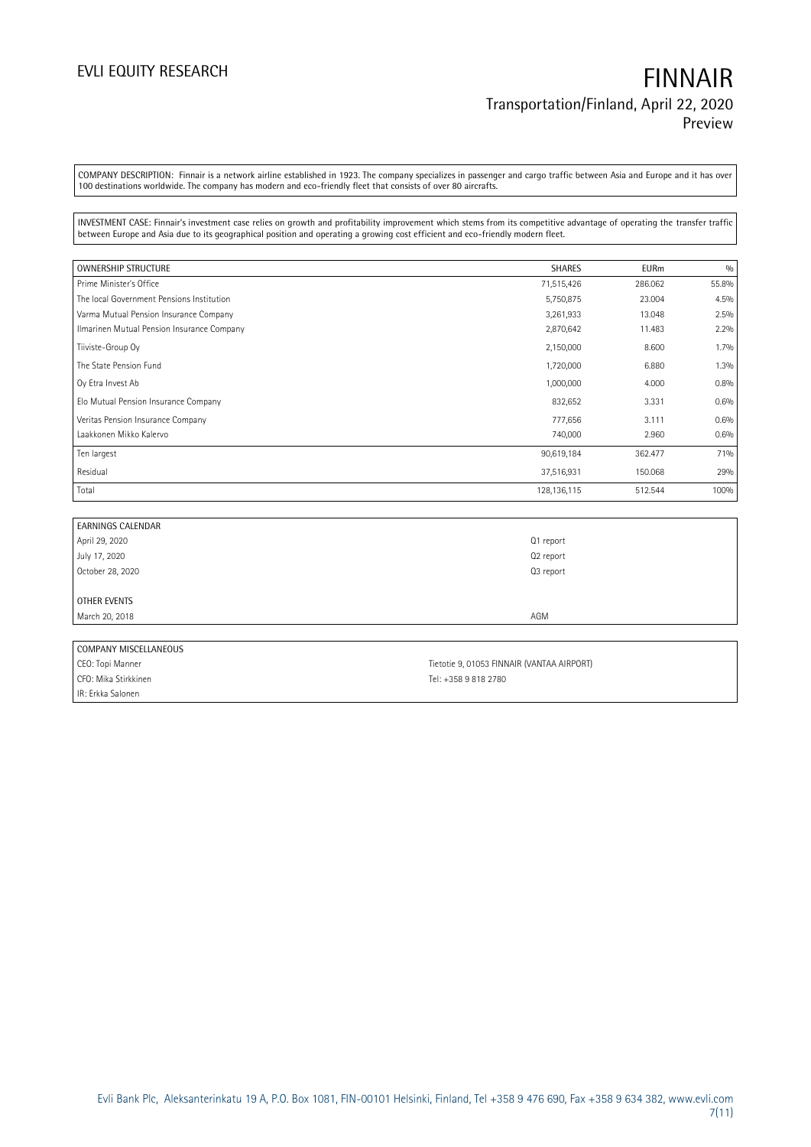COMPANY DESCRIPTION: Finnair is a network airline established in 1923. The company specializes in passenger and cargo traffic between Asia and Europe and it has over 100 destinations worldwide. The company has modern and eco-friendly fleet that consists of over 80 aircrafts.

INVESTMENT CASE: Finnair's investment case relies on growth and profitability improvement which stems from its competitive advantage of operating the transfer traffic between Europe and Asia due to its geographical position and operating a growing cost efficient and eco-friendly modern fleet.

| <b>OWNERSHIP STRUCTURE</b>                 | <b>SHARES</b> | <b>EURm</b> | 0/0   |
|--------------------------------------------|---------------|-------------|-------|
| Prime Minister's Office                    | 71,515,426    | 286.062     | 55.8% |
| The local Government Pensions Institution  | 5,750,875     | 23.004      | 4.5%  |
| Varma Mutual Pension Insurance Company     | 3,261,933     | 13.048      | 2.5%  |
| Ilmarinen Mutual Pension Insurance Company | 2,870,642     | 11.483      | 2.2%  |
| Tiiviste-Group Oy                          | 2,150,000     | 8.600       | 1.7%  |
| The State Pension Fund                     | 1,720,000     | 6.880       | 1.3%  |
| Oy Etra Invest Ab                          | 1,000,000     | 4.000       | 0.8%  |
| Elo Mutual Pension Insurance Company       | 832,652       | 3.331       | 0.6%  |
| Veritas Pension Insurance Company          | 777,656       | 3.111       | 0.6%  |
| Laakkonen Mikko Kalervo                    | 740,000       | 2.960       | 0.6%  |
| Ten largest                                | 90,619,184    | 362.477     | 71%   |
| Residual                                   | 37,516,931    | 150.068     | 29%   |
| Total                                      | 128, 136, 115 | 512.544     | 100%  |

| <b>EARNINGS CALENDAR</b> |           |
|--------------------------|-----------|
| April 29, 2020           | Q1 report |
| July 17, 2020            | Q2 report |
| October 28, 2020         | Q3 report |
|                          |           |
| OTHER EVENTS             |           |
| March 20, 2018           | AGM       |
|                          |           |
| COMPANY MISCELLANEOUS    |           |

| . CONTINUES INTO CELL IN LOOD |                                            |
|-------------------------------|--------------------------------------------|
| CEO: Topi Manner              | Tietotie 9. 01053 FINNAIR (VANTAA AIRPORT) |
| CFO: Mika Stirkkinen          | Tel: +358 9 818 2780                       |
| IIR: Erkka Salonen            |                                            |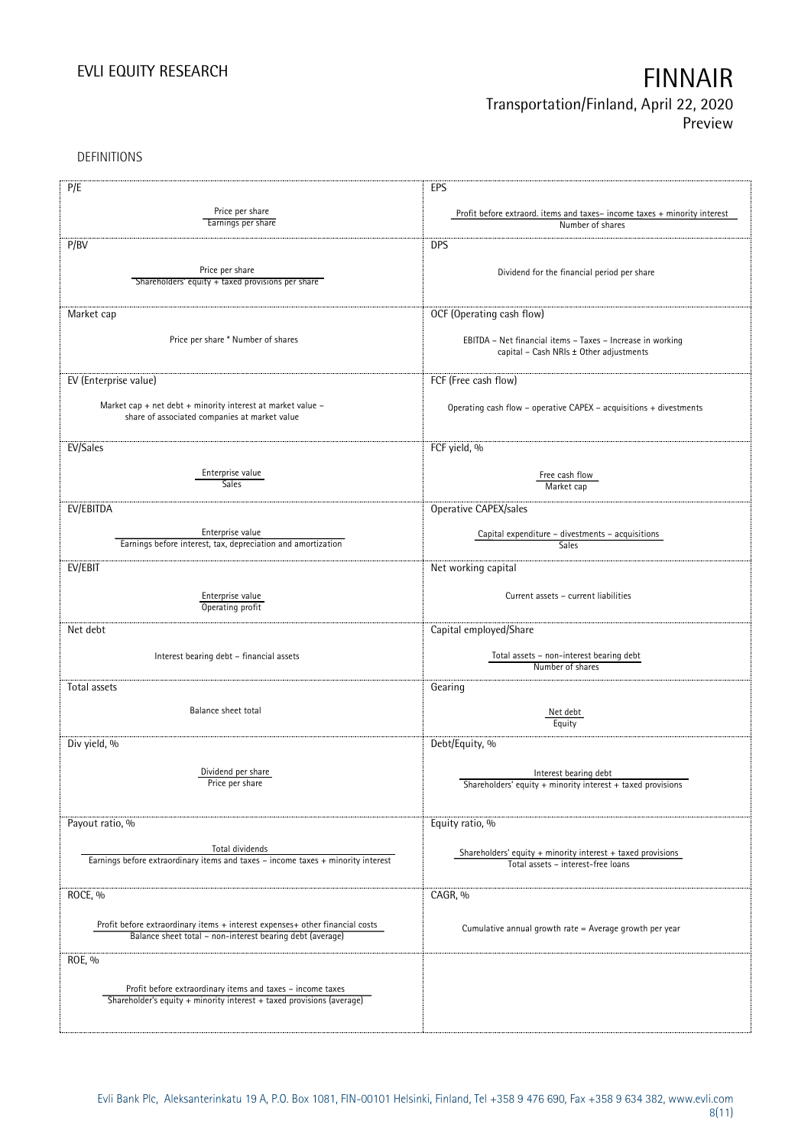DEFINITIONS

| P/E                                                                                                          | EPS                                                                                      |
|--------------------------------------------------------------------------------------------------------------|------------------------------------------------------------------------------------------|
|                                                                                                              |                                                                                          |
| Price per share<br>Earnings per share                                                                        | Profit before extraord. items and taxes-income taxes + minority interest                 |
|                                                                                                              | Number of shares                                                                         |
| P/BV                                                                                                         | <b>DPS</b>                                                                               |
|                                                                                                              |                                                                                          |
| Price per share                                                                                              | Dividend for the financial period per share                                              |
| Shareholders' equity + taxed provisions per share                                                            |                                                                                          |
|                                                                                                              |                                                                                          |
| Market cap                                                                                                   | OCF (Operating cash flow)                                                                |
|                                                                                                              |                                                                                          |
| Price per share * Number of shares                                                                           | EBITDA - Net financial items - Taxes - Increase in working                               |
|                                                                                                              | capital - Cash NRIs ± Other adjustments                                                  |
|                                                                                                              |                                                                                          |
| EV (Enterprise value)                                                                                        | FCF (Free cash flow)                                                                     |
|                                                                                                              |                                                                                          |
| Market cap + net debt + minority interest at market value -<br>share of associated companies at market value | Operating cash flow - operative CAPEX - acquisitions + divestments                       |
|                                                                                                              |                                                                                          |
|                                                                                                              |                                                                                          |
| EV/Sales                                                                                                     | FCF yield, %                                                                             |
| Enterprise value                                                                                             |                                                                                          |
| <b>Sales</b>                                                                                                 | Free cash flow<br>Market cap                                                             |
|                                                                                                              |                                                                                          |
| EV/EBITDA                                                                                                    | Operative CAPEX/sales                                                                    |
|                                                                                                              |                                                                                          |
| Enterprise value<br>Earnings before interest, tax, depreciation and amortization                             | Capital expenditure - divestments - acquisitions<br><b>Sales</b>                         |
|                                                                                                              |                                                                                          |
| EV/EBIT                                                                                                      | Net working capital                                                                      |
|                                                                                                              |                                                                                          |
| Enterprise value                                                                                             | Current assets - current liabilities                                                     |
| Operating profit                                                                                             |                                                                                          |
| Net debt                                                                                                     | Capital employed/Share                                                                   |
|                                                                                                              |                                                                                          |
| Interest bearing debt - financial assets                                                                     | Total assets - non-interest bearing debt                                                 |
|                                                                                                              | Number of shares                                                                         |
| Total assets                                                                                                 | Gearing                                                                                  |
|                                                                                                              |                                                                                          |
| Balance sheet total                                                                                          | Net debt                                                                                 |
|                                                                                                              | Equity                                                                                   |
| Div yield, %                                                                                                 | Debt/Equity, %                                                                           |
|                                                                                                              |                                                                                          |
| Dividend per share                                                                                           |                                                                                          |
| Price per snare                                                                                              | Interest bearing debt<br>Shareholders' equity $+$ minority interest $+$ taxed provisions |
|                                                                                                              |                                                                                          |
|                                                                                                              |                                                                                          |
| Payout ratio, %                                                                                              | Equity ratio, %                                                                          |
|                                                                                                              |                                                                                          |
| Total dividends                                                                                              | Shareholders' equity $+$ minority interest $+$ taxed provisions                          |
| Earnings before extraordinary items and taxes - income taxes + minority interest                             | Total assets - interest-free loans                                                       |
|                                                                                                              |                                                                                          |
| ROCE, %                                                                                                      | CAGR, %                                                                                  |
|                                                                                                              |                                                                                          |
| Profit before extraordinary items + interest expenses+ other financial costs                                 | Cumulative annual growth rate = Average growth per year                                  |
| Balance sheet total - non-interest bearing debt (average)                                                    |                                                                                          |
|                                                                                                              |                                                                                          |
| ROE, %                                                                                                       |                                                                                          |
|                                                                                                              |                                                                                          |
| Profit before extraordinary items and taxes - income taxes                                                   |                                                                                          |
| Shareholder's equity + minority interest + taxed provisions (average)                                        |                                                                                          |
|                                                                                                              |                                                                                          |
|                                                                                                              |                                                                                          |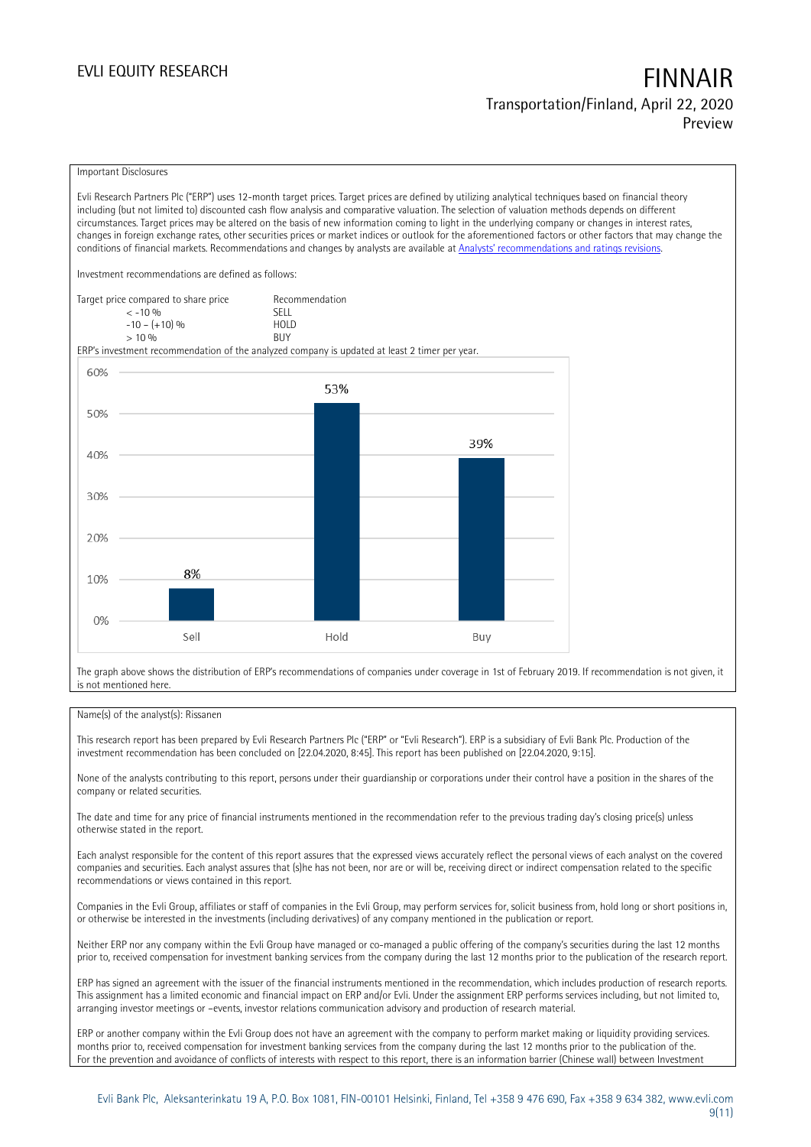### Important Disclosures

Evli Research Partners Plc ("ERP") uses 12-month target prices. Target prices are defined by utilizing analytical techniques based on financial theory including (but not limited to) discounted cash flow analysis and comparative valuation. The selection of valuation methods depends on different circumstances. Target prices may be altered on the basis of new information coming to light in the underlying company or changes in interest rates, changes in foreign exchange rates, other securities prices or market indices or outlook for the aforementioned factors or other factors that may change the conditions of financial markets. Recommendations and changes by analysts are available at [Analysts' recommendations and ratings revisions](https://research.evli.com/JasperAllModels.action?authParam=key;461&authParam=x;G3rNagWrtf7K&authType=3).

Investment recommendations are defined as follows:

| Target price compared to share price | Recommendation                |
|--------------------------------------|-------------------------------|
| $<-10.06$                            | SELL.                         |
| $-10 - (+10)$ %                      | H <sub>O</sub> I <sub>D</sub> |
| > 10%                                | <b>BUY</b>                    |

ERP's investment recommendation of the analyzed company is updated at least 2 timer per year.



The graph above shows the distribution of ERP's recommendations of companies under coverage in 1st of February 2019. If recommendation is not given, it is not mentioned here.

### Name(s) of the analyst(s): Rissanen

This research report has been prepared by Evli Research Partners Plc ("ERP" or "Evli Research"). ERP is a subsidiary of Evli Bank Plc. Production of the investment recommendation has been concluded on [22.04.2020, 8:45]. This report has been published on [22.04.2020, 9:15].

None of the analysts contributing to this report, persons under their guardianship or corporations under their control have a position in the shares of the company or related securities.

The date and time for any price of financial instruments mentioned in the recommendation refer to the previous trading day's closing price(s) unless otherwise stated in the report.

Each analyst responsible for the content of this report assures that the expressed views accurately reflect the personal views of each analyst on the covered companies and securities. Each analyst assures that (s)he has not been, nor are or will be, receiving direct or indirect compensation related to the specific recommendations or views contained in this report.

Companies in the Evli Group, affiliates or staff of companies in the Evli Group, may perform services for, solicit business from, hold long or short positions in, or otherwise be interested in the investments (including derivatives) of any company mentioned in the publication or report.

Neither ERP nor any company within the Evli Group have managed or co-managed a public offering of the company's securities during the last 12 months prior to, received compensation for investment banking services from the company during the last 12 months prior to the publication of the research report.

ERP has signed an agreement with the issuer of the financial instruments mentioned in the recommendation, which includes production of research reports. This assignment has a limited economic and financial impact on ERP and/or Evli. Under the assignment ERP performs services including, but not limited to, arranging investor meetings or –events, investor relations communication advisory and production of research material.

ERP or another company within the Evli Group does not have an agreement with the company to perform market making or liquidity providing services. months prior to, received compensation for investment banking services from the company during the last 12 months prior to the publication of the. For the prevention and avoidance of conflicts of interests with respect to this report, there is an information barrier (Chinese wall) between Investment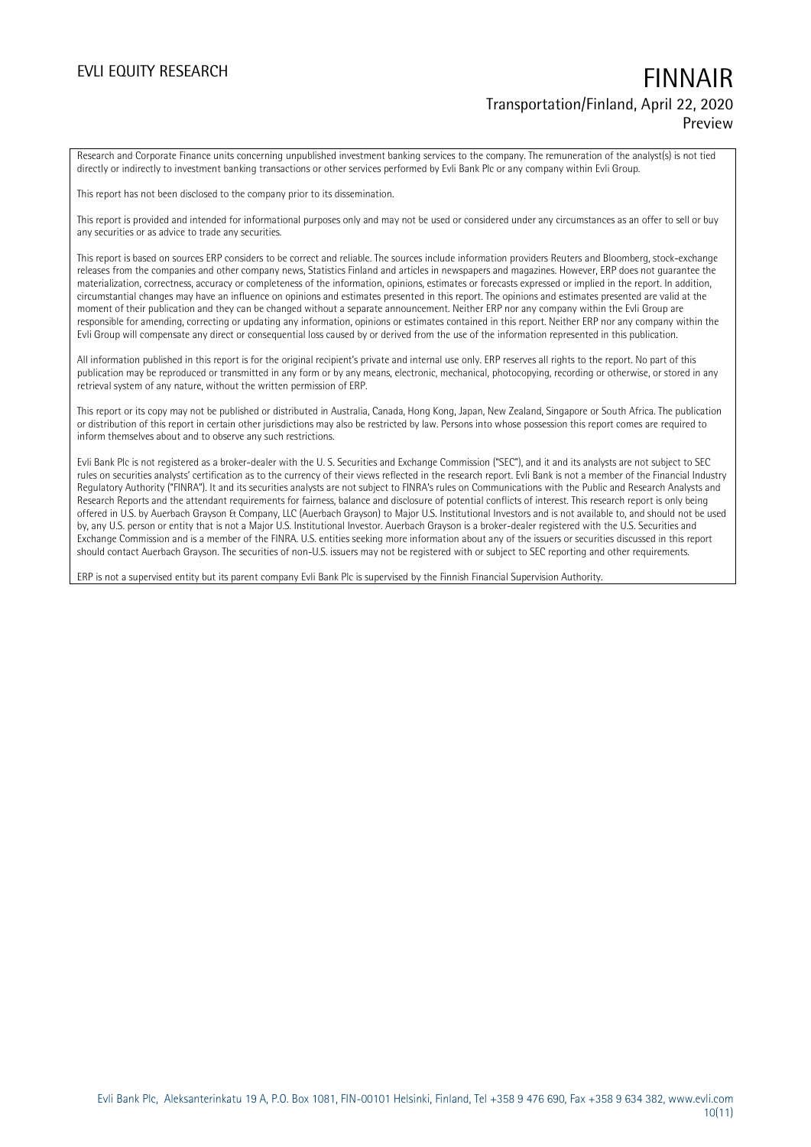Research and Corporate Finance units concerning unpublished investment banking services to the company. The remuneration of the analyst(s) is not tied directly or indirectly to investment banking transactions or other services performed by Evli Bank Plc or any company within Evli Group.

This report has not been disclosed to the company prior to its dissemination.

This report is provided and intended for informational purposes only and may not be used or considered under any circumstances as an offer to sell or buy any securities or as advice to trade any securities.

This report is based on sources ERP considers to be correct and reliable. The sources include information providers Reuters and Bloomberg, stock-exchange releases from the companies and other company news, Statistics Finland and articles in newspapers and magazines. However, ERP does not guarantee the materialization, correctness, accuracy or completeness of the information, opinions, estimates or forecasts expressed or implied in the report. In addition, circumstantial changes may have an influence on opinions and estimates presented in this report. The opinions and estimates presented are valid at the moment of their publication and they can be changed without a separate announcement. Neither ERP nor any company within the Evli Group are responsible for amending, correcting or updating any information, opinions or estimates contained in this report. Neither ERP nor any company within the Evli Group will compensate any direct or consequential loss caused by or derived from the use of the information represented in this publication.

All information published in this report is for the original recipient's private and internal use only. ERP reserves all rights to the report. No part of this publication may be reproduced or transmitted in any form or by any means, electronic, mechanical, photocopying, recording or otherwise, or stored in any retrieval system of any nature, without the written permission of ERP.

This report or its copy may not be published or distributed in Australia, Canada, Hong Kong, Japan, New Zealand, Singapore or South Africa. The publication or distribution of this report in certain other jurisdictions may also be restricted by law. Persons into whose possession this report comes are required to inform themselves about and to observe any such restrictions.

Evli Bank Plc is not registered as a broker-dealer with the U. S. Securities and Exchange Commission ("SEC"), and it and its analysts are not subject to SEC rules on securities analysts' certification as to the currency of their views reflected in the research report. Evli Bank is not a member of the Financial Industry Regulatory Authority ("FINRA"). It and its securities analysts are not subject to FINRA's rules on Communications with the Public and Research Analysts and Research Reports and the attendant requirements for fairness, balance and disclosure of potential conflicts of interest. This research report is only being offered in U.S. by Auerbach Grayson & Company, LLC (Auerbach Grayson) to Major U.S. Institutional Investors and is not available to, and should not be used by, any U.S. person or entity that is not a Major U.S. Institutional Investor. Auerbach Grayson is a broker-dealer registered with the U.S. Securities and Exchange Commission and is a member of the FINRA. U.S. entities seeking more information about any of the issuers or securities discussed in this report should contact Auerbach Grayson. The securities of non-U.S. issuers may not be registered with or subject to SEC reporting and other requirements.

ERP is not a supervised entity but its parent company Evli Bank Plc is supervised by the Finnish Financial Supervision Authority.